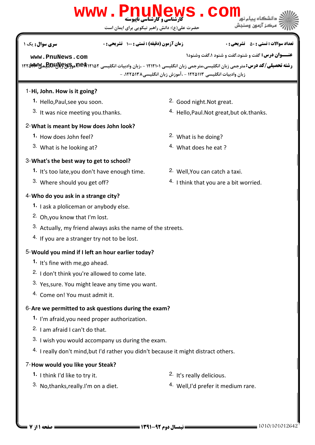# كارشناسي و كارشناسي ناپيوسته **[www.PnuNews.com](http://pnunews.com)**

حضرت علي(ع): دانش راهبر نيكويي براي ايمان است

#### نعداد سوالات : تستي : ۵۰ تشريحي : . زمان آزمون (دقيقه) : تستي : ۱۰۰ تشريحي : . سري سوال : يک 1

#### **[www.PnuNews.com](http://pnunews.com)**

ر**شته تحصیلی/کد درس:**مترجمی زبان انگلیسی،مترجمی زبان انگلیسی ۱۲۱۲۱۰۱ - ،زبان وادبیات انگلیسی **۱۲۲۵۱۹۴۰۲۶۰وB&LU)آهو** زبان وادبیات انگلیسی ۱۲۲۵۱۱۳ - ،آموزش زبان انگلیسی۸۳۸۵۱۳۸ -

#### 1-Hi, John. How is it going?

- **1.** Hello,Paul,see you soon. The same state of the set of the Second night.Not great.
- 3. It was nice meeting you.thanks.

#### What is meant by How does John look? 2-

- 1. How does John feel? **1.** 2. What is he doing?
- 3. What is he looking at?  $\frac{3}{4}$  What does he eat ?

#### What's the best way to get to school? 3-

- 1. It's too late, you don't have enough time. <sup>2.</sup> Well, You can catch a taxi.
- 3. Where should you get off?

#### 4- Who do you ask in a strange city?

- 1. I ask a ploliceman or anybody else.
- <sup>2</sup> Oh, you know that I'm lost.
- $3.$  Actually, my friend always asks the name of the streets.
- $4.$  If you are a stranger try not to be lost.

#### 5-Would you mind if I left an hour earlier today?

- 1. It's fine with me, go ahead.
- 2. I don't think you're allowed to come late.
- $3.$  Yes, sure. You might leave any time you want.
- 4. Come on! You must admit it.

#### 6-Are we permitted to ask questions during the exam?

- 1. I'm afraid, you need proper authorization.
- 2. I am afraid I can't do that.
- $3.$  I wish you would accompany us during the exam.
- $4.$  I really don't mind, but I'd rather you didn't because it might distract others.

#### 7-How would you like your Steak?

**1.** I think I'd like to try it.

- 2. It's really delicious.
- <sup>3.</sup> No,thanks,really.I'm on a diet.  $\frac{4.44 \text{ Well}}{1.44 \text{ perfect}}$  it medium rare.
	-

- 
- 4. I think that you are a bit worried.

 $4.$  Hello,Paul.Not great,but ok.thanks.

**عنـــوان درس:** گفت و شنود،گفت و شنود ۱،گفت وشنود۱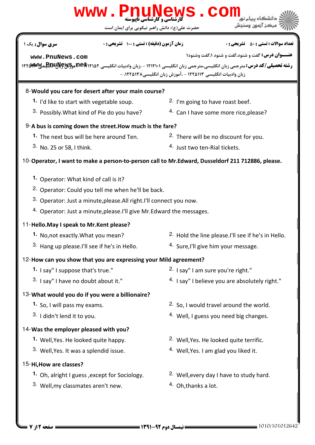### لی(ع): دانش راهبر نیکویی برای ایمان است حضرت ع **عنـــوان درس:** گفت و شنود،گفت و شنود ۱،گفت وشنود۱ ر**شته تحصیلی/کد درس:**مترجمی زبان انگلیسی،مترجمی زبان انگلیسی ۱۲۱۲۱۰۱ - ،زبان وادبیات انگلیسی **۱۲۲۵۱۹۴۰۲۶۰وB&LU)آهو** نعداد سوالات : تستي : ۵۰ تشريحي : . زمان آزمون (دقيقه) : تستي : ۱۰۰ تشريحي : . سري سوال : يک 1 زبان وادبیات انگلیسی ۱۲۲۵۱۱۳ - ،آموزش زبان انگلیسی۸۳۸۵۱۳۸ -8-Would you care for desert after your main course? 1. I'd like to start with vegetable soup. **2.** I'm going to have roast beef. <sup>3.</sup> Possibly. What kind of Pie do you have?  $4.$  Can I have some more rice, please? 9-A bus is coming down the street.How much is the fare? 2. There will be no discount for you. 4. Just two ten-Rial tickets. **1.** The next bus will be here around Ten. 3. No. 25 or 58, I think. 10-Operator, I want to make a person-to-person call to Mr.Edward, Dusseldorf 211 712886, please. 1. Operator: What kind of call is it? <sup>2.</sup> Operator: Could you tell me when he'll be back. 3. Operator: Just a minute,please.All right.I'll connect you now. 4. Operator: Just a minute, please. I'll give Mr. Edward the messages. 11-Hello. May I speak to Mr. Kent please? 2. Hold the line please.I'll see if he's in Hello. <sup>3.</sup> Hang up please.I'll see if he's in Hello.  $\frac{4.5}{10}$  Sure,I'll give him your message. **1.** No, not exactly. What you mean? 12-How can you show that you are expressing your Mild agreement?  $2.$  I say" I am sure you're right."  $4.$  I say" I believe you are absolutely right." **1.** I say" I suppose that's true." <sup>3.</sup> I say" I have no doubt about it." 13- What would you do if you were a billionaire? 2. So, I would travel around the world.  $4.$  Well, I guess you need big changes. **1.** So, I will pass my exams. 3. I didn't lend it to you. 14-Was the employer pleased with you? 2. Well, Yes. He looked quite terrific. 4. Well, Yes. I am glad you liked it. **1.** Well, Yes. He looked quite happy. 3. Well, Yes. It was a splendid issue. 15-Hi, How are classes? 2. Well, every day I have to study hard. **1.** Oh, alright I guess, except for Sociology. **[www.PnuNews.com](http://pnunews.com)**

**[www.PnuNews.com](http://pnunews.com)**

www . PnuN

- 3. Well, my classmates aren't new.  $\frac{4}{100}$  Oh, thanks a lot.
-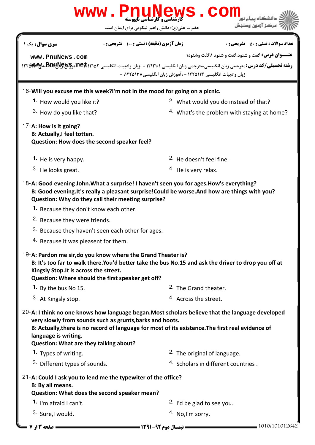| WWW.PnuNews<br>COI                                                                                                                                                                                                                                                                                                                     |                                                                                                                   |                                                                                                                                                                                                       |  |  |  |
|----------------------------------------------------------------------------------------------------------------------------------------------------------------------------------------------------------------------------------------------------------------------------------------------------------------------------------------|-------------------------------------------------------------------------------------------------------------------|-------------------------------------------------------------------------------------------------------------------------------------------------------------------------------------------------------|--|--|--|
|                                                                                                                                                                                                                                                                                                                                        | حضرت علی(ع): دانش راهبر نیکویی برای ایمان است                                                                     | بركز آزمون وسندش                                                                                                                                                                                      |  |  |  |
| <b>سری سوال :</b> یک ۱                                                                                                                                                                                                                                                                                                                 | زمان آزمون (دقیقه) : تستی : 100 تشریحی : 0                                                                        | <b>تعداد سوالات : تستي : 50 ٪ تشريحي : 0</b>                                                                                                                                                          |  |  |  |
| www.PnuNews.com                                                                                                                                                                                                                                                                                                                        |                                                                                                                   | <b>عنــوان درس:</b> گفت و شنود،گفت و شنود ۱،گفت وشنود۱                                                                                                                                                |  |  |  |
|                                                                                                                                                                                                                                                                                                                                        |                                                                                                                   | رشته تحصیلی/کد درس: مترجمی زبان انگلیسی،مترجمی زبان انگلیسی ۱۲۱۲۱۰۱ - ،زبان وادبیات انگلیسی <b>۱۲۲۵۱۹۲۵ هوLBDIپالیRDI) می</b> ۱۲۲۵۱۸۳۷<br>زبان وادبیات انگلیسی ۱۲۲۵۱۱۳ - ،آموزش زبان انگلیسی۱۲۲۵۱۳۸ - |  |  |  |
| 16-Will you excuse me this week?I'm not in the mood for going on a picnic.                                                                                                                                                                                                                                                             |                                                                                                                   |                                                                                                                                                                                                       |  |  |  |
| 1. How would you like it?                                                                                                                                                                                                                                                                                                              |                                                                                                                   | <sup>2.</sup> What would you do instead of that?                                                                                                                                                      |  |  |  |
| 3. How do you like that?                                                                                                                                                                                                                                                                                                               |                                                                                                                   | <sup>4.</sup> What's the problem with staying at home?                                                                                                                                                |  |  |  |
| 17-A: How is it going?<br><b>B: Actually, I feel totten.</b>                                                                                                                                                                                                                                                                           | Question: How does the second speaker feel?                                                                       |                                                                                                                                                                                                       |  |  |  |
| 1. He is very happy.                                                                                                                                                                                                                                                                                                                   |                                                                                                                   | <sup>2.</sup> He doesn't feel fine.                                                                                                                                                                   |  |  |  |
| 3. He looks great.                                                                                                                                                                                                                                                                                                                     |                                                                                                                   | <sup>4.</sup> He is very relax.                                                                                                                                                                       |  |  |  |
| 18-A: Good evening John. What a surprise! I haven't seen you for ages. How's everything?<br>B: Good evening. It's really a pleasant surprise! Could be worse. And how are things with you?<br>Question: Why do they call their meeting surprise?                                                                                       |                                                                                                                   |                                                                                                                                                                                                       |  |  |  |
| 1. Because they don't know each other.                                                                                                                                                                                                                                                                                                 |                                                                                                                   |                                                                                                                                                                                                       |  |  |  |
| <sup>2.</sup> Because they were friends.                                                                                                                                                                                                                                                                                               |                                                                                                                   |                                                                                                                                                                                                       |  |  |  |
|                                                                                                                                                                                                                                                                                                                                        | 3. Because they haven't seen each other for ages.                                                                 |                                                                                                                                                                                                       |  |  |  |
| <sup>4.</sup> Because it was pleasent for them.                                                                                                                                                                                                                                                                                        |                                                                                                                   |                                                                                                                                                                                                       |  |  |  |
| Kingsly Stop. It is across the street.                                                                                                                                                                                                                                                                                                 | 19-A: Pardon me sir, do you know where the Grand Theater is?<br>Question: Where should the first speaker get off? | B: It's too far to walk there. You'd better take the bus No.15 and ask the driver to drop you off at                                                                                                  |  |  |  |
| 1. By the bus No 15.                                                                                                                                                                                                                                                                                                                   |                                                                                                                   | <sup>2.</sup> The Grand theater.                                                                                                                                                                      |  |  |  |
| 3. At Kingsly stop.                                                                                                                                                                                                                                                                                                                    |                                                                                                                   | <sup>4.</sup> Across the street.                                                                                                                                                                      |  |  |  |
| $20$ -A: I think no one knows how language began. Most scholars believe that the language developed<br>very slowly from sounds such as grunts, barks and hoots.<br>B: Actually, there is no record of language for most of its existence. The first real evidence of<br>language is writing.<br>Question: What are they talking about? |                                                                                                                   |                                                                                                                                                                                                       |  |  |  |
| 1. Types of writing.                                                                                                                                                                                                                                                                                                                   |                                                                                                                   | <sup>2</sup> . The original of language.                                                                                                                                                              |  |  |  |
| 3. Different types of sounds.                                                                                                                                                                                                                                                                                                          |                                                                                                                   | 4. Scholars in different countries.                                                                                                                                                                   |  |  |  |
| B: By all means.                                                                                                                                                                                                                                                                                                                       | 21-A: Could I ask you to lend me the typewiter of the office?<br>Question: What does the second speaker mean?     |                                                                                                                                                                                                       |  |  |  |
| 1. I'm afraid I can't.                                                                                                                                                                                                                                                                                                                 |                                                                                                                   | <sup>2.</sup> I'd be glad to see you.                                                                                                                                                                 |  |  |  |
| 3. Sure,I would.                                                                                                                                                                                                                                                                                                                       |                                                                                                                   | <sup>4.</sup> No, I'm sorry.                                                                                                                                                                          |  |  |  |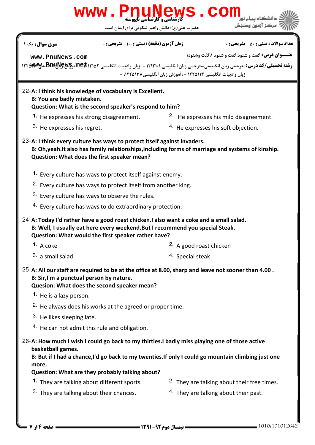| <b>www. PnuNews. COM</b>                                                                                                                                                                                                                                                              |                                                                                                                        |  |  |  |  |
|---------------------------------------------------------------------------------------------------------------------------------------------------------------------------------------------------------------------------------------------------------------------------------------|------------------------------------------------------------------------------------------------------------------------|--|--|--|--|
| حضرت علی(ع): دانش راهبر نیکویی برای ایمان است                                                                                                                                                                                                                                         | مركز آزمون وسنجش                                                                                                       |  |  |  |  |
| زمان آزمون (دقیقه) : تستی : 100 تشریحی : 0<br><b>سری سوال :</b> یک ۱                                                                                                                                                                                                                  | <b>تعداد سوالات : تستي : 50 ٪ تشريحي : 0</b>                                                                           |  |  |  |  |
| www.PnuNews.com<br><b>رشته تحصیلی/کد درس:</b> مترجمی زبان انگلیسی،مترجمی زبان انگلیسی ۱۲۱۲۱۰۱ - ،زبان وادبیات انگلیسی <b>p.eft</b> ۱۲۱۵ هو <b>EGILIS موالای</b> بهای ۱۲۲۵ میلی ک <b>د درس:</b> مترجمی زبان انگلیسی ۱۲۲۵ به                                                            | <b>عنــوان درس:</b> گفت و شنود،گفت و شنود ۱،گفت وشنود۱<br>زبان وادبیات انگلیسی ۱۲۲۵۱۱۳ - ،آموزش زبان انگلیسی۱۲۲۵۱۳۸، - |  |  |  |  |
| 22-A: I think his knowledge of vocabulary is Excellent.<br>B: You are badly mistaken.<br>Question: What is the second speaker's respond to him?                                                                                                                                       |                                                                                                                        |  |  |  |  |
| <sup>1</sup> . He expresses his strong disagreement.                                                                                                                                                                                                                                  | <sup>2.</sup> He expresses his mild disagreement.                                                                      |  |  |  |  |
| 3. He expresses his regret.                                                                                                                                                                                                                                                           | 4. He expresses his soft objection.                                                                                    |  |  |  |  |
| 23-A: I think every culture has ways to protect itself against invaders.<br>B: Oh, yeah. It also has family relationships, including forms of marriage and systems of kinship.<br>Question: What does the first speaker mean?                                                         |                                                                                                                        |  |  |  |  |
|                                                                                                                                                                                                                                                                                       | 1. Every culture has ways to protect itself against enemy.                                                             |  |  |  |  |
|                                                                                                                                                                                                                                                                                       | <sup>2.</sup> Every culture has ways to protect itself from another king.                                              |  |  |  |  |
| 3. Every culture has ways to observe the rules.                                                                                                                                                                                                                                       |                                                                                                                        |  |  |  |  |
| 4. Every culture has ways to do extraordinary protection.                                                                                                                                                                                                                             |                                                                                                                        |  |  |  |  |
| 24-A: Today I'd rather have a good roast chicken. I also want a coke and a small salad.<br>B: Well, I usually eat here every weekend. But I recommend you special Steak.<br>Question: What would the first speaker rather have?                                                       |                                                                                                                        |  |  |  |  |
| 1. A coke                                                                                                                                                                                                                                                                             | 2. A good roast chicken                                                                                                |  |  |  |  |
| 3. a small salad                                                                                                                                                                                                                                                                      | 4. Special steak                                                                                                       |  |  |  |  |
| 25-A: All our staff are required to be at the office at 8.00, sharp and leave not sooner than 4.00.<br>B: Sir, I'm a punctual person by nature.<br>Quesion: What does the second speaker mean?                                                                                        |                                                                                                                        |  |  |  |  |
| 1. He is a lazy person.                                                                                                                                                                                                                                                               |                                                                                                                        |  |  |  |  |
| <sup>2.</sup> He always does his works at the agreed or proper time.                                                                                                                                                                                                                  |                                                                                                                        |  |  |  |  |
| 3. He likes sleeping late.<br><sup>4.</sup> He can not admit this rule and obligation.                                                                                                                                                                                                |                                                                                                                        |  |  |  |  |
|                                                                                                                                                                                                                                                                                       |                                                                                                                        |  |  |  |  |
| 26-A: How much I wish I could go back to my thirties.I badly miss playing one of those active<br>basketball games.<br>B: But if I had a chance, I'd go back to my twenties. If only I could go mountain climbing just one<br>more.<br>Question: What are they probably talking about? |                                                                                                                        |  |  |  |  |
| 1. They are talking about different sports.                                                                                                                                                                                                                                           | <sup>2.</sup> They are talking about their free times.                                                                 |  |  |  |  |
| 3. They are talking about their chances.                                                                                                                                                                                                                                              | <sup>4.</sup> They are talking about their past.                                                                       |  |  |  |  |
| ـــــــ نیمسال دوم 22-1391 ـــــــــــــــ<br>صفحه ۱۴ 7 7                                                                                                                                                                                                                             | 1010/1010126                                                                                                           |  |  |  |  |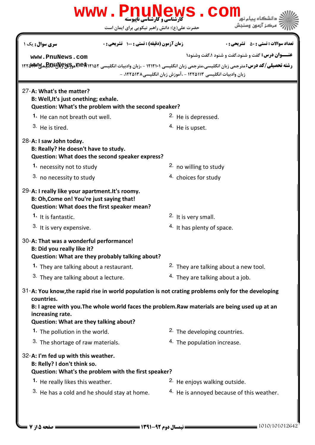### حضرت علي(ع): دانش راهبر نيكويي براي ايمان است كارشناسي و كارشناسي ناپيوسته **عنـــوان درس:** گفت و شنود،گفت و شنود ۱،گفت وشنود۱ ر**شته تحصیلی/کد درس:**مترجمی زبان انگلیسی،مترجمی زبان انگلیسی ۱۲۱۲۱۰۱ - ،زبان وادبیات انگلیسی **۱۲۲۵۱۹۴۰۲۶۰وB&LU)آهو** نعداد سوالات : تستي : ۵۰ تشريحي : . زمان آزمون (دقيقه) : تستي : ۱۰۰ تشريحي : . سري سوال : يک 1 زبان وادبیات انگلیسی ۱۲۲۵۱۱۳ - ،آموزش زبان انگلیسی۸۳۸۵۱۳۸ -27-A: What's the matter? B: Well,It's just onething; exhale. Question: What's the problem with the second speaker? 1. He can not breath out well.  $\frac{2}{1}$  He is depressed. 4. He is upset.  $3.$  He is tired 28-A: I saw John today. B: Really? He doesn't have to study. Question: What does the second speaker express?  $2.$  no willing to study  $3.$  no necessity to study  $4.$  choices for study **1.** necessity not to study 29-A: I really like your apartment. It's roomy. B: Oh,Come on! You're just saying that! Question: What does the first speaker mean? 2. It is very small.  $4.$  It has plenty of space. **1.** It is fantastic. 3. It is very expensive. 30-A: That was a wonderful performance! B: Did you really like it? Question: What are they probably talking about? <sup>2.</sup> They are talking about a new tool.  $4.$  They are talking about a job. **1.** They are talking about a restaurant. 3. They are talking about a lecture. 31-A: You know,the rapid rise in world population is not crating problems only for the developing countries. B: I agree with you.The whole world faces the problem.Raw materials are being used up at an increasing rate. Question: What are they talking about? 2. The developing countries. 3. The shortage of raw materials.  $\frac{4}{1}$  The population increase. **1.** The pollution in the world. 32-A: I'm fed up with this weather. B: Relly? I don't think so. Question: What's the problem with the first speaker?  $2.$  He enjoys walking outside. <sup>3.</sup> He has a cold and he should stay at home.  $\frac{4.46}{1}$  He is annoyed because of this weather. **1.** He really likes this weather. WWW.PnuNews.Com **[www.PnuNews.com](http://pnunews.com)**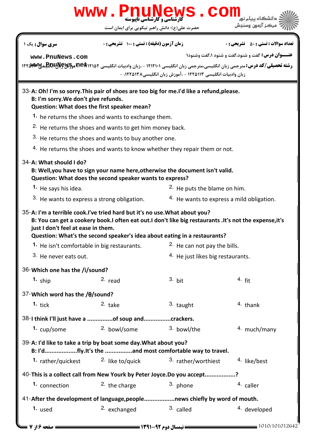## WWW.PnuNews.Com كارشناسي و كارشناسي ناپيوسته ءكز آزمون وسنجش حضرت علي(ع): دانش راهبر نيكويي براي ايمان است نعداد سوالات : تستي : ۵۰ تشريحي : . زمان آزمون (دقيقه) : تستي : ۱۰۰ تشريحي : . سري سوال : يک 1 **عنـــوان درس:** گفت و شنود،گفت و شنود ۱،گفت وشنود۱ **[www.PnuNews.com](http://pnunews.com)** ر**شته تحصیلی/کد درس:**مترجمی زبان انگلیسی،مترجمی زبان انگلیسی ۱۲۱۲۱۰۱ - ،زبان وادبیات انگلیسی **۱۲۲۵۱۹۴۰۲۶۰وB&LU)آهو** زبان وادبیات انگلیسی ۱۲۲۵۱۱۳ - ،آموزش زبان انگلیسی۸۳۸۵۱۳۸ -33-A: Oh! I'm so sorry. This pair of shoes are too big for me. I'd like a refund, please. B: I'm sorry.We don't give refunds. Question: What does the first speaker mean? 1. he returns the shoes and wants to exchange them.  $2.$  He returns the shoes and wants to get him money back.  $3.$  He returns the shoes and wants to buy another one.  $4.$  He returns the shoes and wants to know whether they repair them or not. 34-A: What should I do? B: Well,you have to sign your name here,otherwise the document isn't valid. Question: What does the second speaker wants to express? **1.** He says his idea.  $2.$  He puts the blame on him. <sup>3.</sup> He wants to express a strong obligation.  $\frac{4.44}{4.}$  He wants to express a mild obligation. 35-A: I'm a terrible cook.I've tried hard but it's no use.What about you? B: You can get a cookery book.I often eat out.I don't like big restaurants .It's not the expense,it's just I don't feel at ease in them. Question: What's the second speaker's idea about eating in a restaurants? 1. He isn't comfortable in big restaurants. 2. He can not pay the bills. 3. He never eats out. 4. He just likes big restaurants. 36-Which one has the /i/sound? **1.**  $\sin \theta$  **2.**  $\cos \theta$  **3.**  $\sin \theta$  **4.** ship <sup>2.</sup> read <sup>3.</sup> bit <sup>4.</sup> fit Which word has the /θ/sound? 37- **1.** tick **2.** take 2. 5. 3. taught 4. thank 38-I think I'll just have a ...............of soup and.................crackers. 1. cup/some 2. bowl/some 3. bowl/the 4. much/many 39-A: I'd like to take a trip by boat some day. What about you? B: I'd...................fly.It's the ................and most comfortable way to travel. 1. rather/quickest <sup>2.</sup> like to/quick <sup>3.</sup> rather/worthiest <sup>4.</sup> like/best 40-This is a collect call from New Yourk by Peter Joyce.Do you accept.................? **1.** connection **2.** the charge **1.** 3. phone **1.** 2.  $\theta$  caller 41-After the development of language,people..................news chiefly by word of mouth. 1. used and the second part of the called the second vector of the called the second vector of the called the second vector of the called the second vector of the called the second vector  $\frac{1}{2}$  and  $\frac{1}{2}$  called the